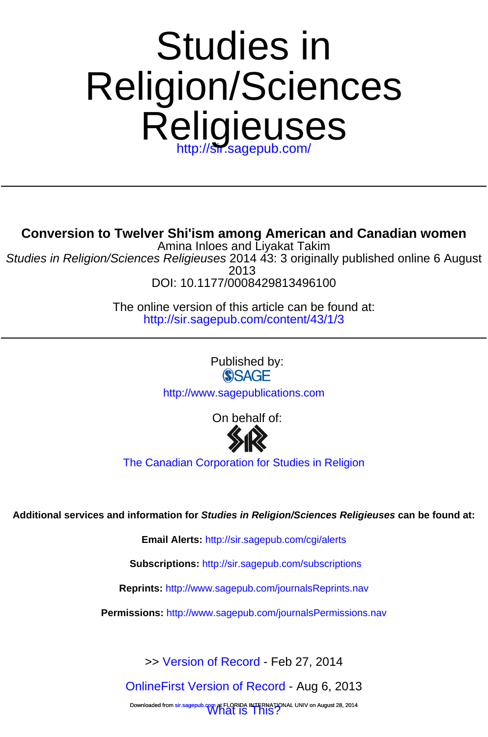# Religieuses Religion/Sciences Studies in

# **Conversion to Twelver Shi'ism among American and Canadian women**

DOI: 10.1177/0008429813496100 2013 Studies in Religion/Sciences Religieuses 2014 43: 3 originally published online 6 August Amina Inloes and Liyakat Takim

> <http://sir.sagepub.com/content/43/1/3> The online version of this article can be found at:

> > Published by: **SSAGE**

<http://www.sagepublications.com>

On behalf of:

[The Canadian Corporation for Studies in Religion](http://www.ccsr.ca/)

**Additional services and information for Studies in Religion/Sciences Religieuses can be found at:**

**Email Alerts:** <http://sir.sagepub.com/cgi/alerts>

**Subscriptions:** <http://sir.sagepub.com/subscriptions>

**Reprints:** <http://www.sagepub.com/journalsReprints.nav>

**Permissions:** <http://www.sagepub.com/journalsPermissions.nav>

>> [Version of Record -](http://sir.sagepub.com/content/43/1/3.full.pdf) Feb 27, 2014

[OnlineFirst Version of Record -](http://sir.sagepub.com/content/early/2013/08/06/0008429813496100.full.pdf) Aug 6, 2013

Downloaded from [sir.sagepub.com a](http://sir.sagepub.com/)t FLORIDA INTERNATIONAL UNIV on August 28, 2014<br>What IS InIS?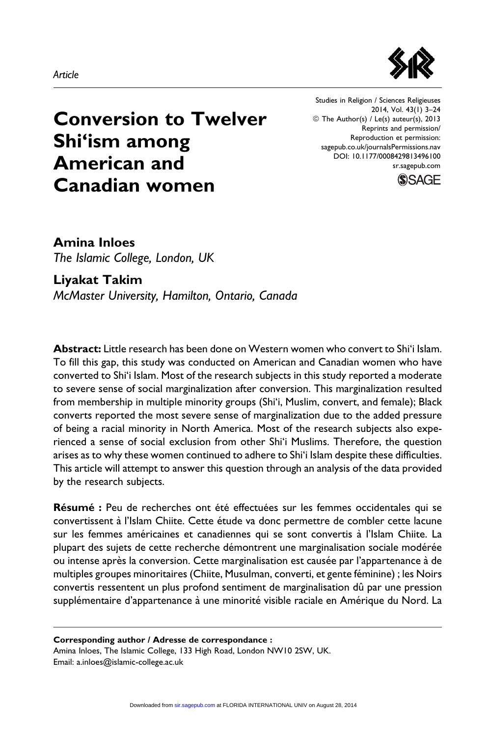#### Article



Studies in Religion / Sciences Religieuses 2014, Vol. 43(1) 3–24 © The Author(s) / Le(s) auteur(s), 2013 Reprints and permission/ Reproduction et permission: [sagepub.co.uk/journalsPermissions.nav](http://www.sagepub.co.uk/journalsPermissions.nav) DOI: 10.1177/0008429813496100 [sr.sagepub.com](http://sr.sagepub.com)



# Conversion to Twelver Shi'ism among American and Canadian women

Amina Inloes The Islamic College, London, UK

### Liyakat Takim

McMaster University, Hamilton, Ontario, Canada

Abstract: Little research has been done on Western women who convert to Shi'i Islam. To fill this gap, this study was conducted on American and Canadian women who have converted to Shi'i Islam. Most of the research subjects in this study reported a moderate to severe sense of social marginalization after conversion. This marginalization resulted from membership in multiple minority groups (Shi'i, Muslim, convert, and female); Black converts reported the most severe sense of marginalization due to the added pressure of being a racial minority in North America. Most of the research subjects also experienced a sense of social exclusion from other Shi'i Muslims. Therefore, the question arises as to why these women continued to adhere to Shi'i Islam despite these difficulties. This article will attempt to answer this question through an analysis of the data provided by the research subjects.

Résumé : Peu de recherches ont été effectuées sur les femmes occidentales qui se convertissent à l'Islam Chiite. Cette étude va donc permettre de combler cette lacune sur les femmes américaines et canadiennes qui se sont convertis à l'Islam Chiite. La plupart des sujets de cette recherche démontrent une marginalisation sociale modérée ou intense après la conversion. Cette marginalisation est causée par l'appartenance à de multiples groupes minoritaires (Chiite, Musulman, converti, et gente féminine) ; les Noirs convertis ressentent un plus profond sentiment de marginalisation dû par une pression supplémentaire d'appartenance à une minorité visible raciale en Amérique du Nord. La

Corresponding author / Adresse de correspondance :

Amina Inloes, The Islamic College, 133 High Road, London NW10 2SW, UK. Email: a.inloes@islamic-college.ac.uk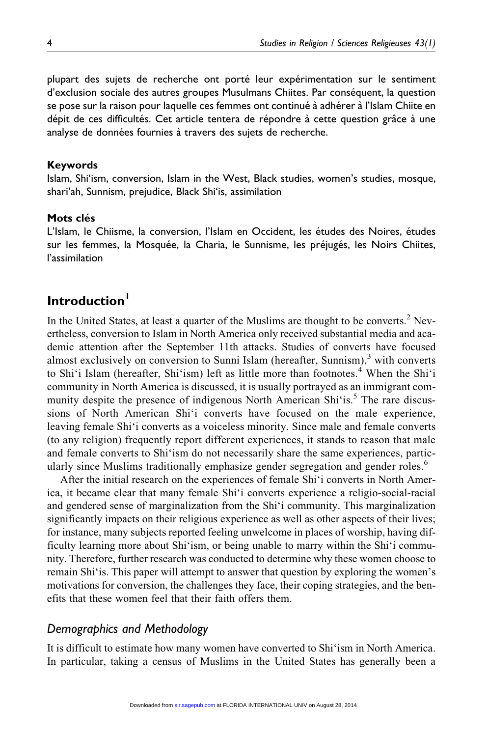plupart des sujets de recherche ont porté leur expérimentation sur le sentiment d'exclusion sociale des autres groupes Musulmans Chiites. Par conséquent, la question se pose sur la raison pour laquelle ces femmes ont continué à adhérer à l'Islam Chiite en dépit de ces difficultés. Cet article tentera de répondre à cette question grâce à une analyse de données fournies à travers des sujets de recherche.

#### Keywords

Islam, Shi'ism, conversion, Islam in the West, Black studies, women's studies, mosque, shari'ah, Sunnism, prejudice, Black Shi'is, assimilation

#### Mots clés

L'Islam, le Chiisme, la conversion, l'Islam en Occident, les études des Noires, études sur les femmes, la Mosquée, la Charia, le Sunnisme, les préjugés, les Noirs Chiites, l'assimilation

# Introduction<sup>1</sup>

In the United States, at least a quarter of the Muslims are thought to be converts.<sup>2</sup> Nevertheless, conversion to Islam in North America only received substantial media and academic attention after the September 11th attacks. Studies of converts have focused almost exclusively on conversion to Sunni Islam (hereafter, Sunnism), $3$  with converts to Shi'i Islam (hereafter, Shi'ism) left as little more than footnotes.<sup>4</sup> When the Shi'i community in North America is discussed, it is usually portrayed as an immigrant community despite the presence of indigenous North American Shi'is.<sup>5</sup> The rare discussions of North American Shi'i converts have focused on the male experience, leaving female Shi'i converts as a voiceless minority. Since male and female converts (to any religion) frequently report different experiences, it stands to reason that male and female converts to Shi'ism do not necessarily share the same experiences, particularly since Muslims traditionally emphasize gender segregation and gender roles.<sup>6</sup>

After the initial research on the experiences of female Shi'i converts in North America, it became clear that many female Shi'i converts experience a religio-social-racial and gendered sense of marginalization from the Shi'i community. This marginalization significantly impacts on their religious experience as well as other aspects of their lives; for instance, many subjects reported feeling unwelcome in places of worship, having difficulty learning more about Shi'ism, or being unable to marry within the Shi'i community. Therefore, further research was conducted to determine why these women choose to remain Shi'is. This paper will attempt to answer that question by exploring the women's motivations for conversion, the challenges they face, their coping strategies, and the benefits that these women feel that their faith offers them.

#### Demographics and Methodology

It is difficult to estimate how many women have converted to Shi'ism in North America. In particular, taking a census of Muslims in the United States has generally been a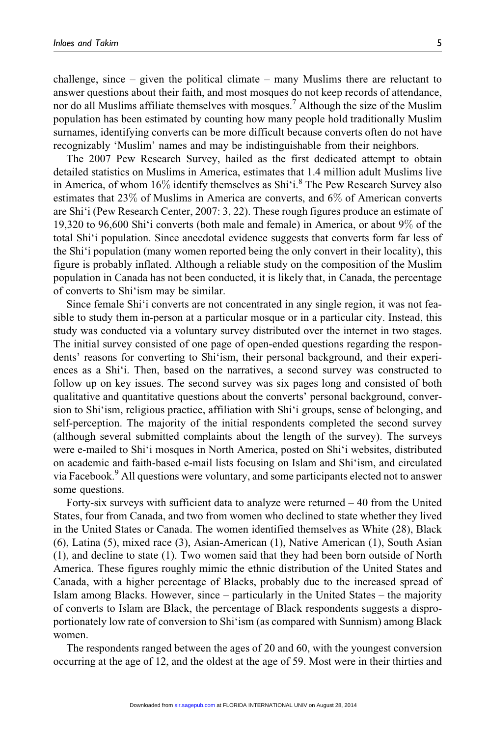challenge, since – given the political climate – many Muslims there are reluctant to answer questions about their faith, and most mosques do not keep records of attendance, nor do all Muslims affiliate themselves with mosques.7 Although the size of the Muslim population has been estimated by counting how many people hold traditionally Muslim surnames, identifying converts can be more difficult because converts often do not have recognizably 'Muslim' names and may be indistinguishable from their neighbors.

The 2007 Pew Research Survey, hailed as the first dedicated attempt to obtain detailed statistics on Muslims in America, estimates that 1.4 million adult Muslims live in America, of whom  $16\%$  identify themselves as  $\text{Shi'i}^8$ . The Pew Research Survey also estimates that 23% of Muslims in America are converts, and 6% of American converts are Shi'i (Pew Research Center, 2007: 3, 22). These rough figures produce an estimate of 19,320 to 96,600 Shi'i converts (both male and female) in America, or about 9% of the total Shi'i population. Since anecdotal evidence suggests that converts form far less of the Shi'i population (many women reported being the only convert in their locality), this figure is probably inflated. Although a reliable study on the composition of the Muslim population in Canada has not been conducted, it is likely that, in Canada, the percentage of converts to Shi'ism may be similar.

Since female Shi'i converts are not concentrated in any single region, it was not feasible to study them in-person at a particular mosque or in a particular city. Instead, this study was conducted via a voluntary survey distributed over the internet in two stages. The initial survey consisted of one page of open-ended questions regarding the respondents' reasons for converting to Shi'ism, their personal background, and their experiences as a Shi'i. Then, based on the narratives, a second survey was constructed to follow up on key issues. The second survey was six pages long and consisted of both qualitative and quantitative questions about the converts' personal background, conversion to Shi'ism, religious practice, affiliation with Shi'i groups, sense of belonging, and self-perception. The majority of the initial respondents completed the second survey (although several submitted complaints about the length of the survey). The surveys were e-mailed to Shi'i mosques in North America, posted on Shi'i websites, distributed on academic and faith-based e-mail lists focusing on Islam and Shi'ism, and circulated via Facebook.9 All questions were voluntary, and some participants elected not to answer some questions.

Forty-six surveys with sufficient data to analyze were returned  $-40$  from the United States, four from Canada, and two from women who declined to state whether they lived in the United States or Canada. The women identified themselves as White (28), Black (6), Latina (5), mixed race (3), Asian-American (1), Native American (1), South Asian (1), and decline to state (1). Two women said that they had been born outside of North America. These figures roughly mimic the ethnic distribution of the United States and Canada, with a higher percentage of Blacks, probably due to the increased spread of Islam among Blacks. However, since – particularly in the United States – the majority of converts to Islam are Black, the percentage of Black respondents suggests a disproportionately low rate of conversion to Shi'ism (as compared with Sunnism) among Black women.

The respondents ranged between the ages of 20 and 60, with the youngest conversion occurring at the age of 12, and the oldest at the age of 59. Most were in their thirties and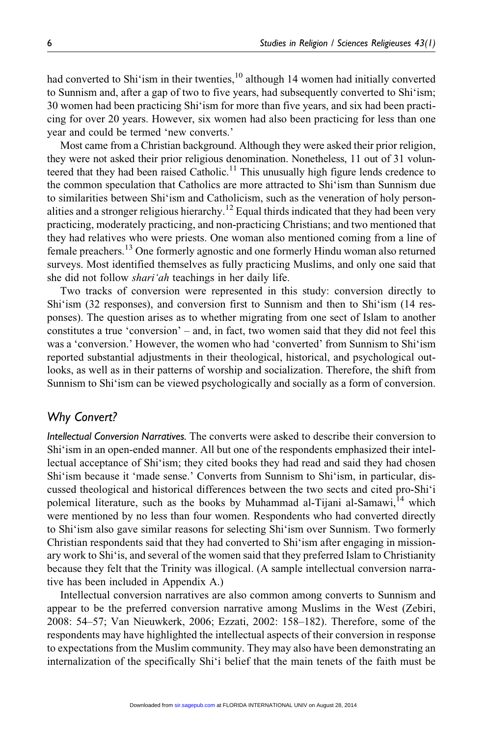had converted to Shi'ism in their twenties,<sup>10</sup> although 14 women had initially converted to Sunnism and, after a gap of two to five years, had subsequently converted to Shi'ism; 30 women had been practicing Shi'ism for more than five years, and six had been practicing for over 20 years. However, six women had also been practicing for less than one year and could be termed 'new converts.'

Most came from a Christian background. Although they were asked their prior religion, they were not asked their prior religious denomination. Nonetheless, 11 out of 31 volunteered that they had been raised Catholic.<sup>11</sup> This unusually high figure lends credence to the common speculation that Catholics are more attracted to Shi'ism than Sunnism due to similarities between Shi'ism and Catholicism, such as the veneration of holy personalities and a stronger religious hierarchy.<sup>12</sup> Equal thirds indicated that they had been very practicing, moderately practicing, and non-practicing Christians; and two mentioned that they had relatives who were priests. One woman also mentioned coming from a line of female preachers.<sup>13</sup> One formerly agnostic and one formerly Hindu woman also returned surveys. Most identified themselves as fully practicing Muslims, and only one said that she did not follow *shari'ah* teachings in her daily life.

Two tracks of conversion were represented in this study: conversion directly to Shi'ism (32 responses), and conversion first to Sunnism and then to Shi'ism (14 responses). The question arises as to whether migrating from one sect of Islam to another constitutes a true 'conversion' – and, in fact, two women said that they did not feel this was a 'conversion.' However, the women who had 'converted' from Sunnism to Shi'ism reported substantial adjustments in their theological, historical, and psychological outlooks, as well as in their patterns of worship and socialization. Therefore, the shift from Sunnism to Shi'ism can be viewed psychologically and socially as a form of conversion.

#### Why Convert?

Intellectual Conversion Narratives. The converts were asked to describe their conversion to Shi'ism in an open-ended manner. All but one of the respondents emphasized their intellectual acceptance of Shi'ism; they cited books they had read and said they had chosen Shi'ism because it 'made sense.' Converts from Sunnism to Shi'ism, in particular, discussed theological and historical differences between the two sects and cited pro-Shi'i polemical literature, such as the books by Muhammad al-Tijani al-Samawi,<sup>14</sup> which were mentioned by no less than four women. Respondents who had converted directly to Shi'ism also gave similar reasons for selecting Shi'ism over Sunnism. Two formerly Christian respondents said that they had converted to Shi'ism after engaging in missionary work to Shi'is, and several of the women said that they preferred Islam to Christianity because they felt that the Trinity was illogical. (A sample intellectual conversion narrative has been included in Appendix A.)

Intellectual conversion narratives are also common among converts to Sunnism and appear to be the preferred conversion narrative among Muslims in the West (Zebiri, 2008: 54–57; Van Nieuwkerk, 2006; Ezzati, 2002: 158–182). Therefore, some of the respondents may have highlighted the intellectual aspects of their conversion in response to expectations from the Muslim community. They may also have been demonstrating an internalization of the specifically Shi'i belief that the main tenets of the faith must be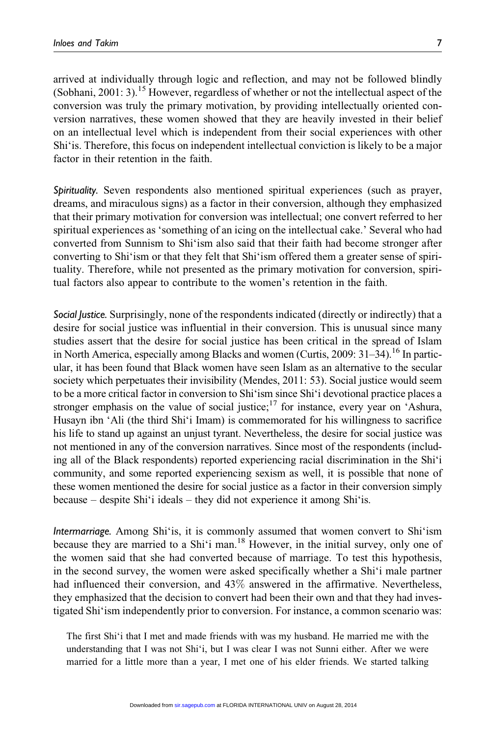arrived at individually through logic and reflection, and may not be followed blindly (Sobhani, 2001: 3).<sup>15</sup> However, regardless of whether or not the intellectual aspect of the conversion was truly the primary motivation, by providing intellectually oriented conversion narratives, these women showed that they are heavily invested in their belief on an intellectual level which is independent from their social experiences with other Shi'is. Therefore, this focus on independent intellectual conviction is likely to be a major factor in their retention in the faith.

Spirituality. Seven respondents also mentioned spiritual experiences (such as prayer, dreams, and miraculous signs) as a factor in their conversion, although they emphasized that their primary motivation for conversion was intellectual; one convert referred to her spiritual experiences as 'something of an icing on the intellectual cake.' Several who had converted from Sunnism to Shi'ism also said that their faith had become stronger after converting to Shi'ism or that they felt that Shi'ism offered them a greater sense of spirituality. Therefore, while not presented as the primary motivation for conversion, spiritual factors also appear to contribute to the women's retention in the faith.

Social Justice. Surprisingly, none of the respondents indicated (directly or indirectly) that a desire for social justice was influential in their conversion. This is unusual since many studies assert that the desire for social justice has been critical in the spread of Islam in North America, especially among Blacks and women (Curtis, 2009: 31-34).<sup>16</sup> In particular, it has been found that Black women have seen Islam as an alternative to the secular society which perpetuates their invisibility (Mendes, 2011: 53). Social justice would seem to be a more critical factor in conversion to Shi'ism since Shi'i devotional practice places a stronger emphasis on the value of social justice; $17$  for instance, every year on 'Ashura, Husayn ibn 'Ali (the third Shi'i Imam) is commemorated for his willingness to sacrifice his life to stand up against an unjust tyrant. Nevertheless, the desire for social justice was not mentioned in any of the conversion narratives. Since most of the respondents (including all of the Black respondents) reported experiencing racial discrimination in the Shi'i community, and some reported experiencing sexism as well, it is possible that none of these women mentioned the desire for social justice as a factor in their conversion simply because – despite Shi'i ideals – they did not experience it among Shi'is.

Intermarriage. Among Shi'is, it is commonly assumed that women convert to Shi'ism because they are married to a Shi'i man.<sup>18</sup> However, in the initial survey, only one of the women said that she had converted because of marriage. To test this hypothesis, in the second survey, the women were asked specifically whether a Shi'i male partner had influenced their conversion, and 43% answered in the affirmative. Nevertheless, they emphasized that the decision to convert had been their own and that they had investigated Shi'ism independently prior to conversion. For instance, a common scenario was:

The first Shi'i that I met and made friends with was my husband. He married me with the understanding that I was not Shi'i, but I was clear I was not Sunni either. After we were married for a little more than a year, I met one of his elder friends. We started talking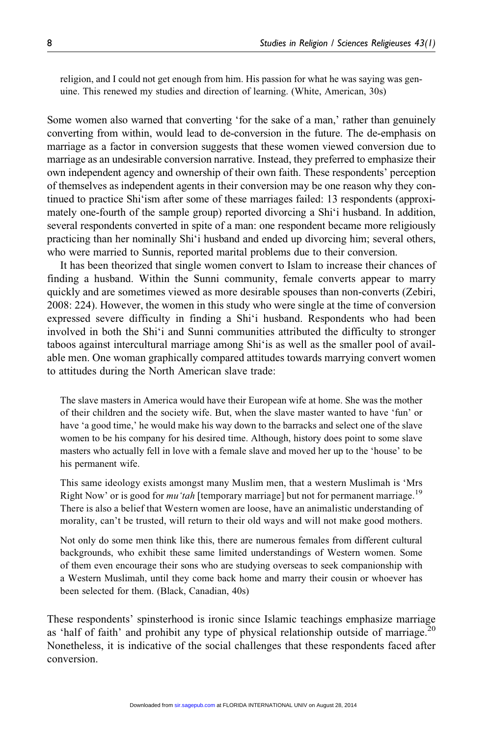religion, and I could not get enough from him. His passion for what he was saying was genuine. This renewed my studies and direction of learning. (White, American, 30s)

Some women also warned that converting 'for the sake of a man,' rather than genuinely converting from within, would lead to de-conversion in the future. The de-emphasis on marriage as a factor in conversion suggests that these women viewed conversion due to marriage as an undesirable conversion narrative. Instead, they preferred to emphasize their own independent agency and ownership of their own faith. These respondents' perception of themselves as independent agents in their conversion may be one reason why they continued to practice Shi'ism after some of these marriages failed: 13 respondents (approximately one-fourth of the sample group) reported divorcing a Shi'i husband. In addition, several respondents converted in spite of a man: one respondent became more religiously practicing than her nominally Shi'i husband and ended up divorcing him; several others, who were married to Sunnis, reported marital problems due to their conversion.

It has been theorized that single women convert to Islam to increase their chances of finding a husband. Within the Sunni community, female converts appear to marry quickly and are sometimes viewed as more desirable spouses than non-converts (Zebiri, 2008: 224). However, the women in this study who were single at the time of conversion expressed severe difficulty in finding a Shi'i husband. Respondents who had been involved in both the Shi'i and Sunni communities attributed the difficulty to stronger taboos against intercultural marriage among Shi'is as well as the smaller pool of available men. One woman graphically compared attitudes towards marrying convert women to attitudes during the North American slave trade:

The slave masters in America would have their European wife at home. She was the mother of their children and the society wife. But, when the slave master wanted to have 'fun' or have 'a good time,' he would make his way down to the barracks and select one of the slave women to be his company for his desired time. Although, history does point to some slave masters who actually fell in love with a female slave and moved her up to the 'house' to be his permanent wife.

This same ideology exists amongst many Muslim men, that a western Muslimah is 'Mrs Right Now' or is good for *mu'tah* [temporary marriage] but not for permanent marriage.<sup>19</sup> There is also a belief that Western women are loose, have an animalistic understanding of morality, can't be trusted, will return to their old ways and will not make good mothers.

Not only do some men think like this, there are numerous females from different cultural backgrounds, who exhibit these same limited understandings of Western women. Some of them even encourage their sons who are studying overseas to seek companionship with a Western Muslimah, until they come back home and marry their cousin or whoever has been selected for them. (Black, Canadian, 40s)

These respondents' spinsterhood is ironic since Islamic teachings emphasize marriage as 'half of faith' and prohibit any type of physical relationship outside of marriage.<sup>20</sup> Nonetheless, it is indicative of the social challenges that these respondents faced after conversion.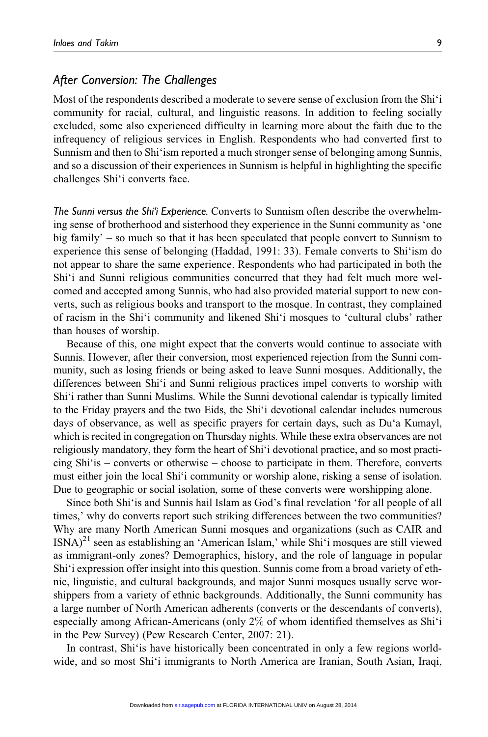#### After Conversion: The Challenges

Most of the respondents described a moderate to severe sense of exclusion from the Shi'i community for racial, cultural, and linguistic reasons. In addition to feeling socially excluded, some also experienced difficulty in learning more about the faith due to the infrequency of religious services in English. Respondents who had converted first to Sunnism and then to Shi'ism reported a much stronger sense of belonging among Sunnis, and so a discussion of their experiences in Sunnism is helpful in highlighting the specific challenges Shi'i converts face.

The Sunni versus the Shi'i Experience. Converts to Sunnism often describe the overwhelming sense of brotherhood and sisterhood they experience in the Sunni community as 'one big family' – so much so that it has been speculated that people convert to Sunnism to experience this sense of belonging (Haddad, 1991: 33). Female converts to Shi'ism do not appear to share the same experience. Respondents who had participated in both the Shi'i and Sunni religious communities concurred that they had felt much more welcomed and accepted among Sunnis, who had also provided material support to new converts, such as religious books and transport to the mosque. In contrast, they complained of racism in the Shi'i community and likened Shi'i mosques to 'cultural clubs' rather than houses of worship.

Because of this, one might expect that the converts would continue to associate with Sunnis. However, after their conversion, most experienced rejection from the Sunni community, such as losing friends or being asked to leave Sunni mosques. Additionally, the differences between Shi'i and Sunni religious practices impel converts to worship with Shi'i rather than Sunni Muslims. While the Sunni devotional calendar is typically limited to the Friday prayers and the two Eids, the Shi'i devotional calendar includes numerous days of observance, as well as specific prayers for certain days, such as Du'a Kumayl, which is recited in congregation on Thursday nights. While these extra observances are not religiously mandatory, they form the heart of Shi'i devotional practice, and so most practicing Shi'is – converts or otherwise – choose to participate in them. Therefore, converts must either join the local Shi'i community or worship alone, risking a sense of isolation. Due to geographic or social isolation, some of these converts were worshipping alone.

Since both Shi'is and Sunnis hail Islam as God's final revelation 'for all people of all times,' why do converts report such striking differences between the two communities? Why are many North American Sunni mosques and organizations (such as CAIR and  $\text{ISNA}<sup>21</sup>$  seen as establishing an 'American Islam,' while Shi'i mosques are still viewed as immigrant-only zones? Demographics, history, and the role of language in popular Shi'i expression offer insight into this question. Sunnis come from a broad variety of ethnic, linguistic, and cultural backgrounds, and major Sunni mosques usually serve worshippers from a variety of ethnic backgrounds. Additionally, the Sunni community has a large number of North American adherents (converts or the descendants of converts), especially among African-Americans (only  $2\%$  of whom identified themselves as Shi'i in the Pew Survey) (Pew Research Center, 2007: 21).

In contrast, Shi'is have historically been concentrated in only a few regions worldwide, and so most Shi'i immigrants to North America are Iranian, South Asian, Iraqi,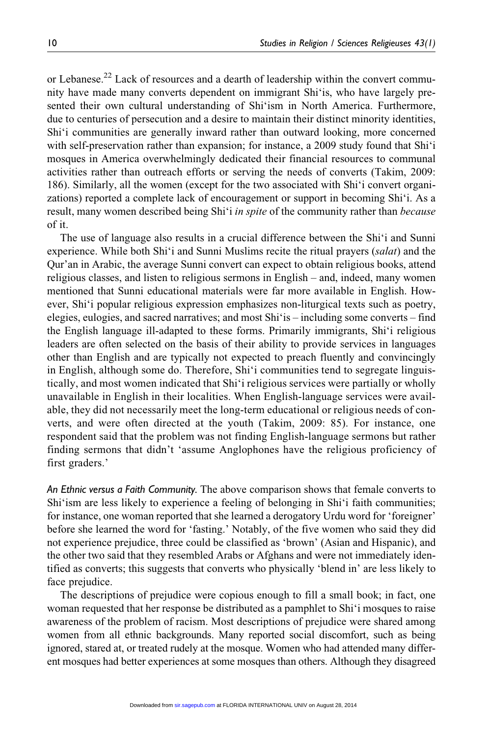or Lebanese.<sup>22</sup> Lack of resources and a dearth of leadership within the convert community have made many converts dependent on immigrant Shi'is, who have largely presented their own cultural understanding of Shi'ism in North America. Furthermore, due to centuries of persecution and a desire to maintain their distinct minority identities, Shi'i communities are generally inward rather than outward looking, more concerned with self-preservation rather than expansion; for instance, a 2009 study found that Shi'i mosques in America overwhelmingly dedicated their financial resources to communal activities rather than outreach efforts or serving the needs of converts (Takim, 2009: 186). Similarly, all the women (except for the two associated with Shi'i convert organizations) reported a complete lack of encouragement or support in becoming Shi'i. As a result, many women described being Shi'i in spite of the community rather than *because* of it.

The use of language also results in a crucial difference between the Shi'i and Sunni experience. While both Shi'i and Sunni Muslims recite the ritual prayers (salat) and the Qur'an in Arabic, the average Sunni convert can expect to obtain religious books, attend religious classes, and listen to religious sermons in English – and, indeed, many women mentioned that Sunni educational materials were far more available in English. However, Shi'i popular religious expression emphasizes non-liturgical texts such as poetry, elegies, eulogies, and sacred narratives; and most Shi'is – including some converts – find the English language ill-adapted to these forms. Primarily immigrants, Shi'i religious leaders are often selected on the basis of their ability to provide services in languages other than English and are typically not expected to preach fluently and convincingly in English, although some do. Therefore, Shi'i communities tend to segregate linguistically, and most women indicated that Shi'i religious services were partially or wholly unavailable in English in their localities. When English-language services were available, they did not necessarily meet the long-term educational or religious needs of converts, and were often directed at the youth (Takim, 2009: 85). For instance, one respondent said that the problem was not finding English-language sermons but rather finding sermons that didn't 'assume Anglophones have the religious proficiency of first graders.'

An Ethnic versus a Faith Community. The above comparison shows that female converts to Shi'ism are less likely to experience a feeling of belonging in Shi'i faith communities; for instance, one woman reported that she learned a derogatory Urdu word for 'foreigner' before she learned the word for 'fasting.' Notably, of the five women who said they did not experience prejudice, three could be classified as 'brown' (Asian and Hispanic), and the other two said that they resembled Arabs or Afghans and were not immediately identified as converts; this suggests that converts who physically 'blend in' are less likely to face prejudice.

The descriptions of prejudice were copious enough to fill a small book; in fact, one woman requested that her response be distributed as a pamphlet to Shi'i mosques to raise awareness of the problem of racism. Most descriptions of prejudice were shared among women from all ethnic backgrounds. Many reported social discomfort, such as being ignored, stared at, or treated rudely at the mosque. Women who had attended many different mosques had better experiences at some mosques than others. Although they disagreed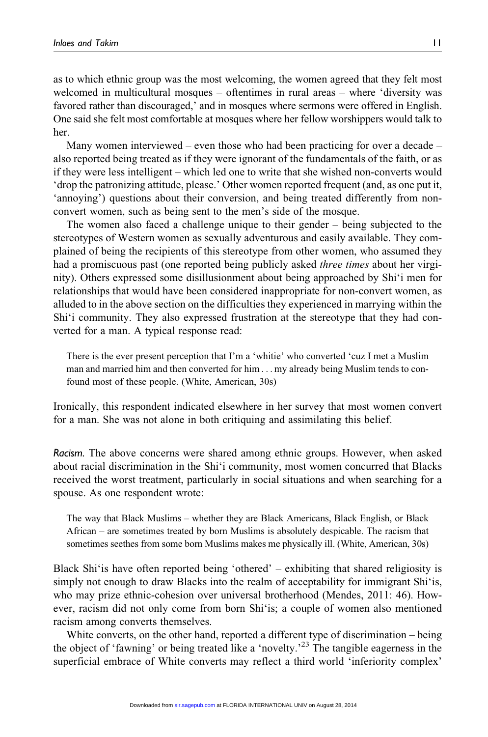as to which ethnic group was the most welcoming, the women agreed that they felt most welcomed in multicultural mosques – oftentimes in rural areas – where 'diversity was favored rather than discouraged,' and in mosques where sermons were offered in English. One said she felt most comfortable at mosques where her fellow worshippers would talk to her.

Many women interviewed – even those who had been practicing for over a decade – also reported being treated as if they were ignorant of the fundamentals of the faith, or as if they were less intelligent – which led one to write that she wished non-converts would 'drop the patronizing attitude, please.' Other women reported frequent (and, as one put it, 'annoying') questions about their conversion, and being treated differently from nonconvert women, such as being sent to the men's side of the mosque.

The women also faced a challenge unique to their gender – being subjected to the stereotypes of Western women as sexually adventurous and easily available. They complained of being the recipients of this stereotype from other women, who assumed they had a promiscuous past (one reported being publicly asked three times about her virginity). Others expressed some disillusionment about being approached by Shi'i men for relationships that would have been considered inappropriate for non-convert women, as alluded to in the above section on the difficulties they experienced in marrying within the Shi'i community. They also expressed frustration at the stereotype that they had converted for a man. A typical response read:

There is the ever present perception that I'm a 'whitie' who converted 'cuz I met a Muslim man and married him and then converted for him ... my already being Muslim tends to confound most of these people. (White, American, 30s)

Ironically, this respondent indicated elsewhere in her survey that most women convert for a man. She was not alone in both critiquing and assimilating this belief.

Racism. The above concerns were shared among ethnic groups. However, when asked about racial discrimination in the Shi'i community, most women concurred that Blacks received the worst treatment, particularly in social situations and when searching for a spouse. As one respondent wrote:

The way that Black Muslims – whether they are Black Americans, Black English, or Black African – are sometimes treated by born Muslims is absolutely despicable. The racism that sometimes seethes from some born Muslims makes me physically ill. (White, American, 30s)

Black Shi'is have often reported being 'othered' – exhibiting that shared religiosity is simply not enough to draw Blacks into the realm of acceptability for immigrant Shi'is, who may prize ethnic-cohesion over universal brotherhood (Mendes, 2011: 46). However, racism did not only come from born Shi'is; a couple of women also mentioned racism among converts themselves.

White converts, on the other hand, reported a different type of discrimination – being the object of 'fawning' or being treated like a 'novelty.'23 The tangible eagerness in the superficial embrace of White converts may reflect a third world 'inferiority complex'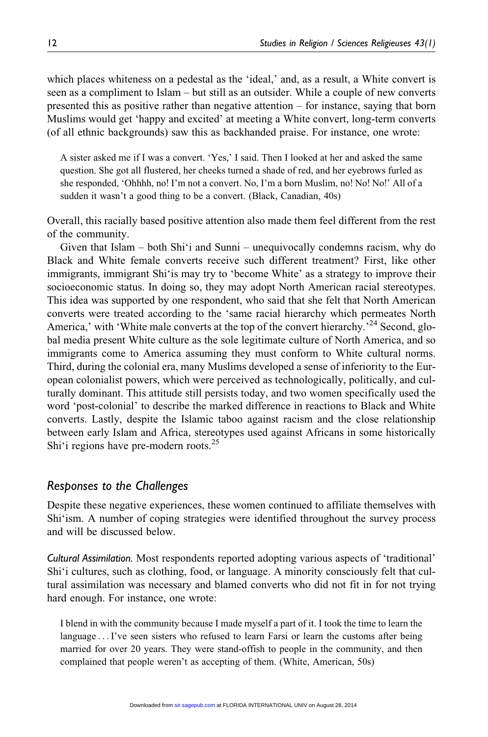which places whiteness on a pedestal as the 'ideal,' and, as a result, a White convert is seen as a compliment to Islam – but still as an outsider. While a couple of new converts presented this as positive rather than negative attention – for instance, saying that born Muslims would get 'happy and excited' at meeting a White convert, long-term converts (of all ethnic backgrounds) saw this as backhanded praise. For instance, one wrote:

A sister asked me if I was a convert. 'Yes,' I said. Then I looked at her and asked the same question. She got all flustered, her cheeks turned a shade of red, and her eyebrows furled as she responded, 'Ohhhh, no! I'm not a convert. No, I'm a born Muslim, no! No! No!' All of a sudden it wasn't a good thing to be a convert. (Black, Canadian, 40s)

Overall, this racially based positive attention also made them feel different from the rest of the community.

Given that Islam – both Shi'i and Sunni – unequivocally condemns racism, why do Black and White female converts receive such different treatment? First, like other immigrants, immigrant Shi'is may try to 'become White' as a strategy to improve their socioeconomic status. In doing so, they may adopt North American racial stereotypes. This idea was supported by one respondent, who said that she felt that North American converts were treated according to the 'same racial hierarchy which permeates North America,' with 'White male converts at the top of the convert hierarchy.<sup>24</sup> Second, global media present White culture as the sole legitimate culture of North America, and so immigrants come to America assuming they must conform to White cultural norms. Third, during the colonial era, many Muslims developed a sense of inferiority to the European colonialist powers, which were perceived as technologically, politically, and culturally dominant. This attitude still persists today, and two women specifically used the word 'post-colonial' to describe the marked difference in reactions to Black and White converts. Lastly, despite the Islamic taboo against racism and the close relationship between early Islam and Africa, stereotypes used against Africans in some historically Shi'i regions have pre-modern roots. $25$ 

#### Responses to the Challenges

Despite these negative experiences, these women continued to affiliate themselves with Shi'ism. A number of coping strategies were identified throughout the survey process and will be discussed below.

Cultural Assimilation. Most respondents reported adopting various aspects of 'traditional' Shi'i cultures, such as clothing, food, or language. A minority consciously felt that cultural assimilation was necessary and blamed converts who did not fit in for not trying hard enough. For instance, one wrote:

I blend in with the community because I made myself a part of it. I took the time to learn the language ...I've seen sisters who refused to learn Farsi or learn the customs after being married for over 20 years. They were stand-offish to people in the community, and then complained that people weren't as accepting of them. (White, American, 50s)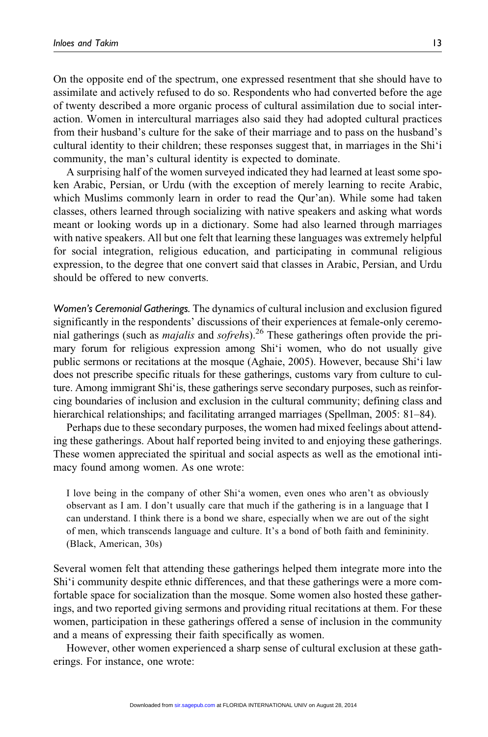On the opposite end of the spectrum, one expressed resentment that she should have to assimilate and actively refused to do so. Respondents who had converted before the age of twenty described a more organic process of cultural assimilation due to social interaction. Women in intercultural marriages also said they had adopted cultural practices from their husband's culture for the sake of their marriage and to pass on the husband's cultural identity to their children; these responses suggest that, in marriages in the Shi'i community, the man's cultural identity is expected to dominate.

A surprising half of the women surveyed indicated they had learned at least some spoken Arabic, Persian, or Urdu (with the exception of merely learning to recite Arabic, which Muslims commonly learn in order to read the Qur'an). While some had taken classes, others learned through socializing with native speakers and asking what words meant or looking words up in a dictionary. Some had also learned through marriages with native speakers. All but one felt that learning these languages was extremely helpful for social integration, religious education, and participating in communal religious expression, to the degree that one convert said that classes in Arabic, Persian, and Urdu should be offered to new converts.

Women's Ceremonial Gatherings. The dynamics of cultural inclusion and exclusion figured significantly in the respondents' discussions of their experiences at female-only ceremonial gatherings (such as *majalis* and *sofrehs*).<sup>26</sup> These gatherings often provide the primary forum for religious expression among Shi'i women, who do not usually give public sermons or recitations at the mosque (Aghaie, 2005). However, because Shi'i law does not prescribe specific rituals for these gatherings, customs vary from culture to culture. Among immigrant Shi'is, these gatherings serve secondary purposes, such as reinforcing boundaries of inclusion and exclusion in the cultural community; defining class and hierarchical relationships; and facilitating arranged marriages (Spellman, 2005: 81–84).

Perhaps due to these secondary purposes, the women had mixed feelings about attending these gatherings. About half reported being invited to and enjoying these gatherings. These women appreciated the spiritual and social aspects as well as the emotional intimacy found among women. As one wrote:

I love being in the company of other Shi'a women, even ones who aren't as obviously observant as I am. I don't usually care that much if the gathering is in a language that I can understand. I think there is a bond we share, especially when we are out of the sight of men, which transcends language and culture. It's a bond of both faith and femininity. (Black, American, 30s)

Several women felt that attending these gatherings helped them integrate more into the Shi'i community despite ethnic differences, and that these gatherings were a more comfortable space for socialization than the mosque. Some women also hosted these gatherings, and two reported giving sermons and providing ritual recitations at them. For these women, participation in these gatherings offered a sense of inclusion in the community and a means of expressing their faith specifically as women.

However, other women experienced a sharp sense of cultural exclusion at these gatherings. For instance, one wrote: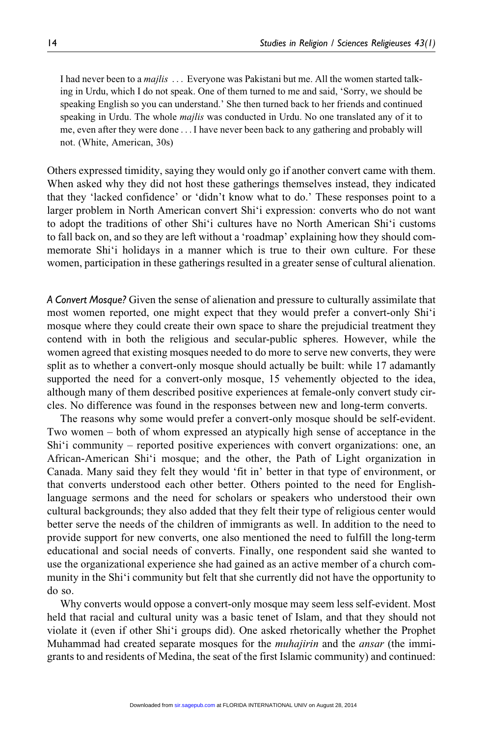I had never been to a majlis ... Everyone was Pakistani but me. All the women started talking in Urdu, which I do not speak. One of them turned to me and said, 'Sorry, we should be speaking English so you can understand.' She then turned back to her friends and continued speaking in Urdu. The whole *majlis* was conducted in Urdu. No one translated any of it to me, even after they were done ...I have never been back to any gathering and probably will not. (White, American, 30s)

Others expressed timidity, saying they would only go if another convert came with them. When asked why they did not host these gatherings themselves instead, they indicated that they 'lacked confidence' or 'didn't know what to do.' These responses point to a larger problem in North American convert Shi'i expression: converts who do not want to adopt the traditions of other Shi'i cultures have no North American Shi'i customs to fall back on, and so they are left without a 'roadmap' explaining how they should commemorate Shi'i holidays in a manner which is true to their own culture. For these women, participation in these gatherings resulted in a greater sense of cultural alienation.

A Convert Mosque? Given the sense of alienation and pressure to culturally assimilate that most women reported, one might expect that they would prefer a convert-only Shi'i mosque where they could create their own space to share the prejudicial treatment they contend with in both the religious and secular-public spheres. However, while the women agreed that existing mosques needed to do more to serve new converts, they were split as to whether a convert-only mosque should actually be built: while 17 adamantly supported the need for a convert-only mosque, 15 vehemently objected to the idea, although many of them described positive experiences at female-only convert study circles. No difference was found in the responses between new and long-term converts.

The reasons why some would prefer a convert-only mosque should be self-evident. Two women – both of whom expressed an atypically high sense of acceptance in the Shi'i community – reported positive experiences with convert organizations: one, an African-American Shi'i mosque; and the other, the Path of Light organization in Canada. Many said they felt they would 'fit in' better in that type of environment, or that converts understood each other better. Others pointed to the need for Englishlanguage sermons and the need for scholars or speakers who understood their own cultural backgrounds; they also added that they felt their type of religious center would better serve the needs of the children of immigrants as well. In addition to the need to provide support for new converts, one also mentioned the need to fulfill the long-term educational and social needs of converts. Finally, one respondent said she wanted to use the organizational experience she had gained as an active member of a church community in the Shi'i community but felt that she currently did not have the opportunity to do so.

Why converts would oppose a convert-only mosque may seem less self-evident. Most held that racial and cultural unity was a basic tenet of Islam, and that they should not violate it (even if other Shi'i groups did). One asked rhetorically whether the Prophet Muhammad had created separate mosques for the *muhajirin* and the *ansar* (the immigrants to and residents of Medina, the seat of the first Islamic community) and continued: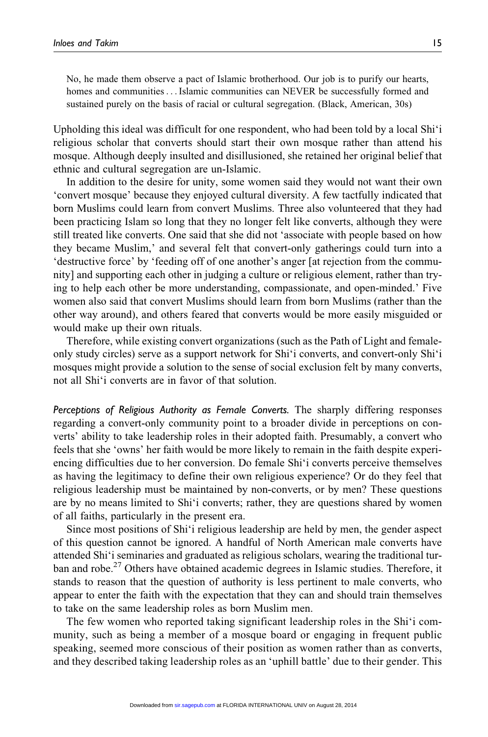No, he made them observe a pact of Islamic brotherhood. Our job is to purify our hearts, homes and communities...Islamic communities can NEVER be successfully formed and sustained purely on the basis of racial or cultural segregation. (Black, American, 30s)

Upholding this ideal was difficult for one respondent, who had been told by a local Shi'i religious scholar that converts should start their own mosque rather than attend his mosque. Although deeply insulted and disillusioned, she retained her original belief that ethnic and cultural segregation are un-Islamic.

In addition to the desire for unity, some women said they would not want their own 'convert mosque' because they enjoyed cultural diversity. A few tactfully indicated that born Muslims could learn from convert Muslims. Three also volunteered that they had been practicing Islam so long that they no longer felt like converts, although they were still treated like converts. One said that she did not 'associate with people based on how they became Muslim,' and several felt that convert-only gatherings could turn into a 'destructive force' by 'feeding off of one another's anger [at rejection from the community] and supporting each other in judging a culture or religious element, rather than trying to help each other be more understanding, compassionate, and open-minded.' Five women also said that convert Muslims should learn from born Muslims (rather than the other way around), and others feared that converts would be more easily misguided or would make up their own rituals.

Therefore, while existing convert organizations (such as the Path of Light and femaleonly study circles) serve as a support network for Shi'i converts, and convert-only Shi'i mosques might provide a solution to the sense of social exclusion felt by many converts, not all Shi'i converts are in favor of that solution.

Perceptions of Religious Authority as Female Converts. The sharply differing responses regarding a convert-only community point to a broader divide in perceptions on converts' ability to take leadership roles in their adopted faith. Presumably, a convert who feels that she 'owns' her faith would be more likely to remain in the faith despite experiencing difficulties due to her conversion. Do female Shi'i converts perceive themselves as having the legitimacy to define their own religious experience? Or do they feel that religious leadership must be maintained by non-converts, or by men? These questions are by no means limited to Shi'i converts; rather, they are questions shared by women of all faiths, particularly in the present era.

Since most positions of Shi'i religious leadership are held by men, the gender aspect of this question cannot be ignored. A handful of North American male converts have attended Shi'i seminaries and graduated as religious scholars, wearing the traditional turban and robe.<sup>27</sup> Others have obtained academic degrees in Islamic studies. Therefore, it stands to reason that the question of authority is less pertinent to male converts, who appear to enter the faith with the expectation that they can and should train themselves to take on the same leadership roles as born Muslim men.

The few women who reported taking significant leadership roles in the Shi'i community, such as being a member of a mosque board or engaging in frequent public speaking, seemed more conscious of their position as women rather than as converts, and they described taking leadership roles as an 'uphill battle' due to their gender. This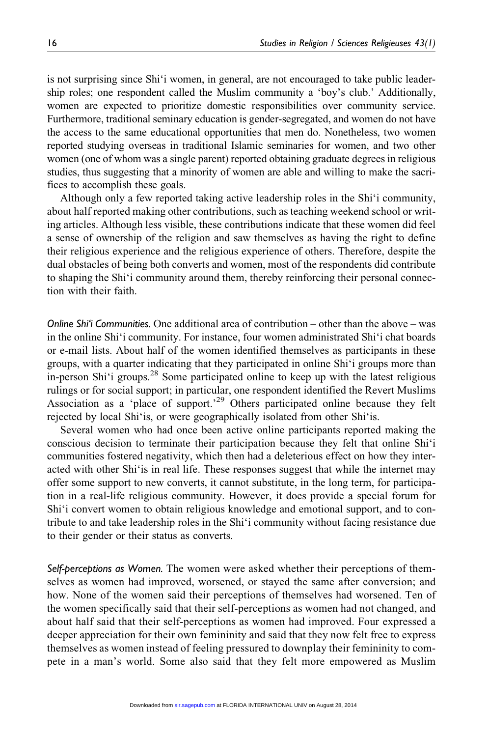is not surprising since Shi'i women, in general, are not encouraged to take public leadership roles; one respondent called the Muslim community a 'boy's club.' Additionally, women are expected to prioritize domestic responsibilities over community service. Furthermore, traditional seminary education is gender-segregated, and women do not have the access to the same educational opportunities that men do. Nonetheless, two women reported studying overseas in traditional Islamic seminaries for women, and two other women (one of whom was a single parent) reported obtaining graduate degrees in religious studies, thus suggesting that a minority of women are able and willing to make the sacrifices to accomplish these goals.

Although only a few reported taking active leadership roles in the Shi'i community, about half reported making other contributions, such as teaching weekend school or writing articles. Although less visible, these contributions indicate that these women did feel a sense of ownership of the religion and saw themselves as having the right to define their religious experience and the religious experience of others. Therefore, despite the dual obstacles of being both converts and women, most of the respondents did contribute to shaping the Shi'i community around them, thereby reinforcing their personal connection with their faith.

Online Shi'i Communities. One additional area of contribution – other than the above – was in the online Shi'i community. For instance, four women administrated Shi'i chat boards or e-mail lists. About half of the women identified themselves as participants in these groups, with a quarter indicating that they participated in online Shi'i groups more than in-person Shi<sup>t</sup>i groups.<sup>28</sup> Some participated online to keep up with the latest religious rulings or for social support; in particular, one respondent identified the Revert Muslims Association as a 'place of support.<sup>29</sup> Others participated online because they felt rejected by local Shi'is, or were geographically isolated from other Shi'is.

Several women who had once been active online participants reported making the conscious decision to terminate their participation because they felt that online Shi'i communities fostered negativity, which then had a deleterious effect on how they interacted with other Shi'is in real life. These responses suggest that while the internet may offer some support to new converts, it cannot substitute, in the long term, for participation in a real-life religious community. However, it does provide a special forum for Shi'i convert women to obtain religious knowledge and emotional support, and to contribute to and take leadership roles in the Shi'i community without facing resistance due to their gender or their status as converts.

Self-perceptions as Women. The women were asked whether their perceptions of themselves as women had improved, worsened, or stayed the same after conversion; and how. None of the women said their perceptions of themselves had worsened. Ten of the women specifically said that their self-perceptions as women had not changed, and about half said that their self-perceptions as women had improved. Four expressed a deeper appreciation for their own femininity and said that they now felt free to express themselves as women instead of feeling pressured to downplay their femininity to compete in a man's world. Some also said that they felt more empowered as Muslim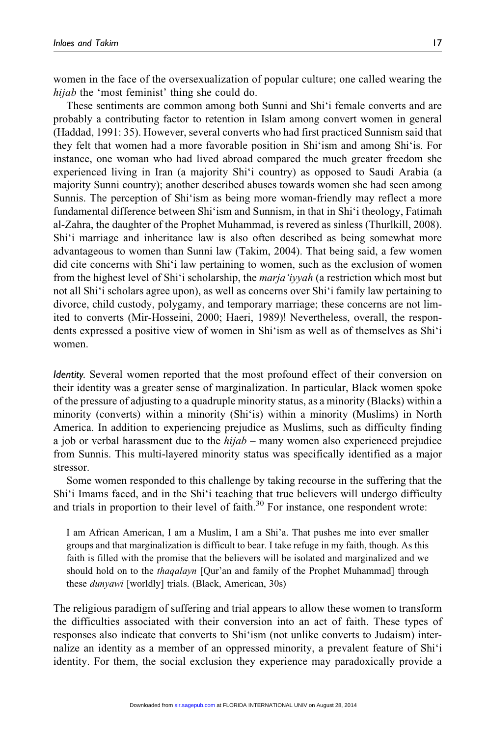women in the face of the oversexualization of popular culture; one called wearing the hijab the 'most feminist' thing she could do.

These sentiments are common among both Sunni and Shi'i female converts and are probably a contributing factor to retention in Islam among convert women in general (Haddad, 1991: 35). However, several converts who had first practiced Sunnism said that they felt that women had a more favorable position in Shi'ism and among Shi'is. For instance, one woman who had lived abroad compared the much greater freedom she experienced living in Iran (a majority Shi'i country) as opposed to Saudi Arabia (a majority Sunni country); another described abuses towards women she had seen among Sunnis. The perception of Shi'ism as being more woman-friendly may reflect a more fundamental difference between Shi'ism and Sunnism, in that in Shi'i theology, Fatimah al-Zahra, the daughter of the Prophet Muhammad, is revered as sinless (Thurlkill, 2008). Shi'i marriage and inheritance law is also often described as being somewhat more advantageous to women than Sunni law (Takim, 2004). That being said, a few women did cite concerns with Shi'i law pertaining to women, such as the exclusion of women from the highest level of Shi'i scholarship, the marja'iyyah (a restriction which most but not all Shi'i scholars agree upon), as well as concerns over Shi'i family law pertaining to divorce, child custody, polygamy, and temporary marriage; these concerns are not limited to converts (Mir-Hosseini, 2000; Haeri, 1989)! Nevertheless, overall, the respondents expressed a positive view of women in Shi'ism as well as of themselves as Shi'i women.

Identity. Several women reported that the most profound effect of their conversion on their identity was a greater sense of marginalization. In particular, Black women spoke of the pressure of adjusting to a quadruple minority status, as a minority (Blacks) within a minority (converts) within a minority (Shi'is) within a minority (Muslims) in North America. In addition to experiencing prejudice as Muslims, such as difficulty finding a job or verbal harassment due to the  $hijab$  – many women also experienced prejudice from Sunnis. This multi-layered minority status was specifically identified as a major stressor.

Some women responded to this challenge by taking recourse in the suffering that the Shi'i Imams faced, and in the Shi'i teaching that true believers will undergo difficulty and trials in proportion to their level of faith.<sup>30</sup> For instance, one respondent wrote:

I am African American, I am a Muslim, I am a Shi'a. That pushes me into ever smaller groups and that marginalization is difficult to bear. I take refuge in my faith, though. As this faith is filled with the promise that the believers will be isolated and marginalized and we should hold on to the *thaqalayn* [Qur'an and family of the Prophet Muhammad] through these dunyawi [worldly] trials. (Black, American, 30s)

The religious paradigm of suffering and trial appears to allow these women to transform the difficulties associated with their conversion into an act of faith. These types of responses also indicate that converts to Shi'ism (not unlike converts to Judaism) internalize an identity as a member of an oppressed minority, a prevalent feature of Shi'i identity. For them, the social exclusion they experience may paradoxically provide a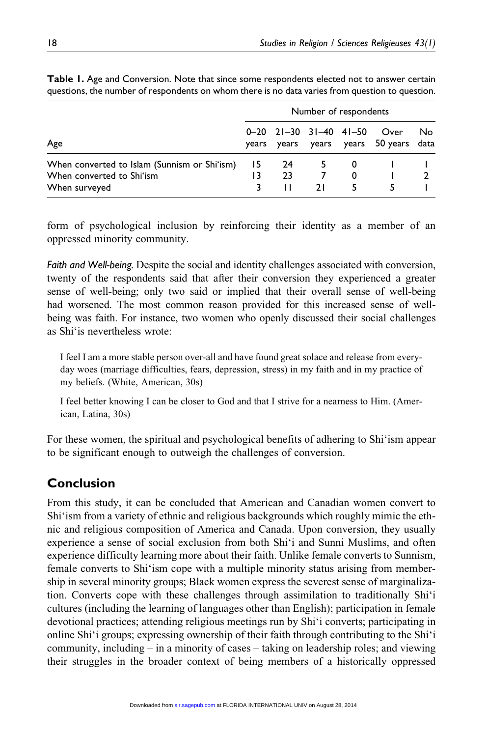| Age                                          | Number of respondents |              |                                        |   |                                   |     |
|----------------------------------------------|-----------------------|--------------|----------------------------------------|---|-----------------------------------|-----|
|                                              | years                 | years        | $0 - 20$ $21 - 30$ $31 - 40$ $41 - 50$ |   | Over<br>years years 50 years data | No. |
| When converted to Islam (Sunnism or Shi'ism) | 15.                   | -24          |                                        |   |                                   |     |
| When converted to Shi'ism                    | 13                    | 23           | $\sqrt{2}$                             | 0 |                                   |     |
| When surveyed                                |                       | $\mathbf{L}$ | 21                                     |   |                                   |     |

Table 1. Age and Conversion. Note that since some respondents elected not to answer certain questions, the number of respondents on whom there is no data varies from question to question.

form of psychological inclusion by reinforcing their identity as a member of an oppressed minority community.

Faith and Well-being. Despite the social and identity challenges associated with conversion, twenty of the respondents said that after their conversion they experienced a greater sense of well-being; only two said or implied that their overall sense of well-being had worsened. The most common reason provided for this increased sense of wellbeing was faith. For instance, two women who openly discussed their social challenges as Shi'is nevertheless wrote:

I feel I am a more stable person over-all and have found great solace and release from everyday woes (marriage difficulties, fears, depression, stress) in my faith and in my practice of my beliefs. (White, American, 30s)

I feel better knowing I can be closer to God and that I strive for a nearness to Him. (American, Latina, 30s)

For these women, the spiritual and psychological benefits of adhering to Shi'ism appear to be significant enough to outweigh the challenges of conversion.

# Conclusion

From this study, it can be concluded that American and Canadian women convert to Shi'ism from a variety of ethnic and religious backgrounds which roughly mimic the ethnic and religious composition of America and Canada. Upon conversion, they usually experience a sense of social exclusion from both Shi'i and Sunni Muslims, and often experience difficulty learning more about their faith. Unlike female converts to Sunnism, female converts to Shi'ism cope with a multiple minority status arising from membership in several minority groups; Black women express the severest sense of marginalization. Converts cope with these challenges through assimilation to traditionally Shi'i cultures (including the learning of languages other than English); participation in female devotional practices; attending religious meetings run by Shi'i converts; participating in online Shi'i groups; expressing ownership of their faith through contributing to the Shi'i community, including – in a minority of cases – taking on leadership roles; and viewing their struggles in the broader context of being members of a historically oppressed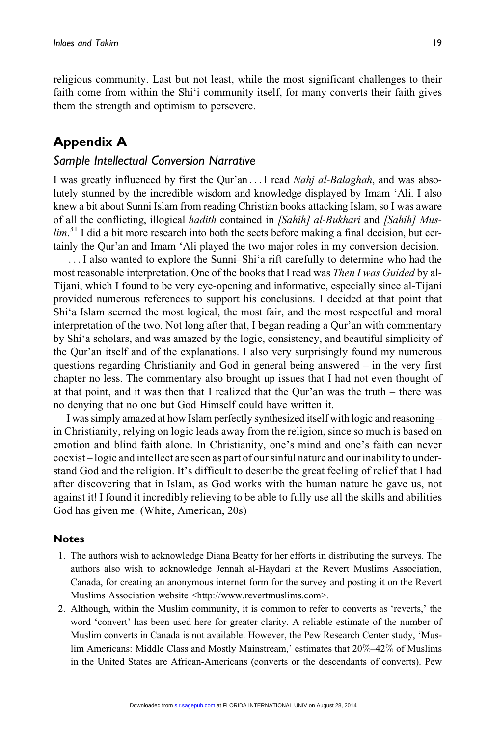religious community. Last but not least, while the most significant challenges to their faith come from within the Shi'i community itself, for many converts their faith gives them the strength and optimism to persevere.

## Appendix A

#### Sample Intellectual Conversion Narrative

I was greatly influenced by first the Qur'an ... I read Nahj al-Balaghah, and was absolutely stunned by the incredible wisdom and knowledge displayed by Imam 'Ali. I also knew a bit about Sunni Islam from reading Christian books attacking Islam, so I was aware of all the conflicting, illogical hadith contained in [Sahih] al-Bukhari and [Sahih] Mus- $\lim$ <sup>31</sup> I did a bit more research into both the sects before making a final decision, but certainly the Qur'an and Imam 'Ali played the two major roles in my conversion decision.

... I also wanted to explore the Sunni–Shi'a rift carefully to determine who had the most reasonable interpretation. One of the books that I read was *Then I was Guided* by al-Tijani, which I found to be very eye-opening and informative, especially since al-Tijani provided numerous references to support his conclusions. I decided at that point that Shi'a Islam seemed the most logical, the most fair, and the most respectful and moral interpretation of the two. Not long after that, I began reading a Qur'an with commentary by Shi'a scholars, and was amazed by the logic, consistency, and beautiful simplicity of the Qur'an itself and of the explanations. I also very surprisingly found my numerous questions regarding Christianity and God in general being answered – in the very first chapter no less. The commentary also brought up issues that I had not even thought of at that point, and it was then that I realized that the Qur'an was the truth – there was no denying that no one but God Himself could have written it.

I was simply amazed at how Islam perfectly synthesized itself with logic and reasoning – in Christianity, relying on logic leads away from the religion, since so much is based on emotion and blind faith alone. In Christianity, one's mind and one's faith can never coexist – logic and intellect are seen as part of our sinful nature and our inability to understand God and the religion. It's difficult to describe the great feeling of relief that I had after discovering that in Islam, as God works with the human nature he gave us, not against it! I found it incredibly relieving to be able to fully use all the skills and abilities God has given me. (White, American, 20s)

#### Notes

- 1. The authors wish to acknowledge Diana Beatty for her efforts in distributing the surveys. The authors also wish to acknowledge Jennah al-Haydari at the Revert Muslims Association, Canada, for creating an anonymous internet form for the survey and posting it on the Revert Muslims Association website <http://www.revertmuslims.com>.
- 2. Although, within the Muslim community, it is common to refer to converts as 'reverts,' the word 'convert' has been used here for greater clarity. A reliable estimate of the number of Muslim converts in Canada is not available. However, the Pew Research Center study, 'Muslim Americans: Middle Class and Mostly Mainstream,' estimates that 20%–42% of Muslims in the United States are African-Americans (converts or the descendants of converts). Pew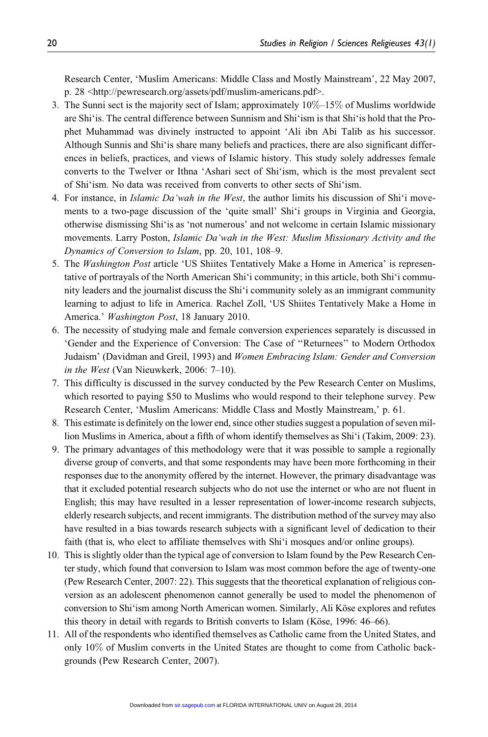Research Center, 'Muslim Americans: Middle Class and Mostly Mainstream', 22 May 2007, p. 28 <http://pewresearch.org/assets/pdf/muslim-americans.pdf>.

- 3. The Sunni sect is the majority sect of Islam; approximately 10%–15% of Muslims worldwide are Shi'is. The central difference between Sunnism and Shi'ism is that Shi'is hold that the Prophet Muhammad was divinely instructed to appoint 'Ali ibn Abi Talib as his successor. Although Sunnis and Shi'is share many beliefs and practices, there are also significant differences in beliefs, practices, and views of Islamic history. This study solely addresses female converts to the Twelver or Ithna 'Ashari sect of Shi'ism, which is the most prevalent sect of Shi'ism. No data was received from converts to other sects of Shi'ism.
- 4. For instance, in *Islamic Da'wah in the West*, the author limits his discussion of Shi'i movements to a two-page discussion of the 'quite small' Shi'i groups in Virginia and Georgia, otherwise dismissing Shi'is as 'not numerous' and not welcome in certain Islamic missionary movements. Larry Poston, Islamic Da'wah in the West: Muslim Missionary Activity and the Dynamics of Conversion to Islam, pp. 20, 101, 108–9.
- 5. The *Washington Post* article 'US Shiites Tentatively Make a Home in America' is representative of portrayals of the North American Shi'i community; in this article, both Shi'i community leaders and the journalist discuss the Shi'i community solely as an immigrant community learning to adjust to life in America. Rachel Zoll, 'US Shiites Tentatively Make a Home in America.' Washington Post, 18 January 2010.
- 6. The necessity of studying male and female conversion experiences separately is discussed in 'Gender and the Experience of Conversion: The Case of ''Returnees'' to Modern Orthodox Judaism' (Davidman and Greil, 1993) and Women Embracing Islam: Gender and Conversion in the West (Van Nieuwkerk, 2006: 7–10).
- 7. This difficulty is discussed in the survey conducted by the Pew Research Center on Muslims, which resorted to paying \$50 to Muslims who would respond to their telephone survey. Pew Research Center, 'Muslim Americans: Middle Class and Mostly Mainstream,' p. 61.
- 8. This estimate is definitely on the lower end, since other studies suggest a population of seven million Muslims in America, about a fifth of whom identify themselves as Shi'i (Takim, 2009: 23).
- 9. The primary advantages of this methodology were that it was possible to sample a regionally diverse group of converts, and that some respondents may have been more forthcoming in their responses due to the anonymity offered by the internet. However, the primary disadvantage was that it excluded potential research subjects who do not use the internet or who are not fluent in English; this may have resulted in a lesser representation of lower-income research subjects, elderly research subjects, and recent immigrants. The distribution method of the survey may also have resulted in a bias towards research subjects with a significant level of dedication to their faith (that is, who elect to affiliate themselves with Shi'i mosques and/or online groups).
- 10. This is slightly older than the typical age of conversion to Islam found by the Pew Research Center study, which found that conversion to Islam was most common before the age of twenty-one (Pew Research Center, 2007: 22). This suggests that the theoretical explanation of religious conversion as an adolescent phenomenon cannot generally be used to model the phenomenon of conversion to Shi'ism among North American women. Similarly, Ali Köse explores and refutes this theory in detail with regards to British converts to Islam (Köse, 1996: 46–66).
- 11. All of the respondents who identified themselves as Catholic came from the United States, and only 10% of Muslim converts in the United States are thought to come from Catholic backgrounds (Pew Research Center, 2007).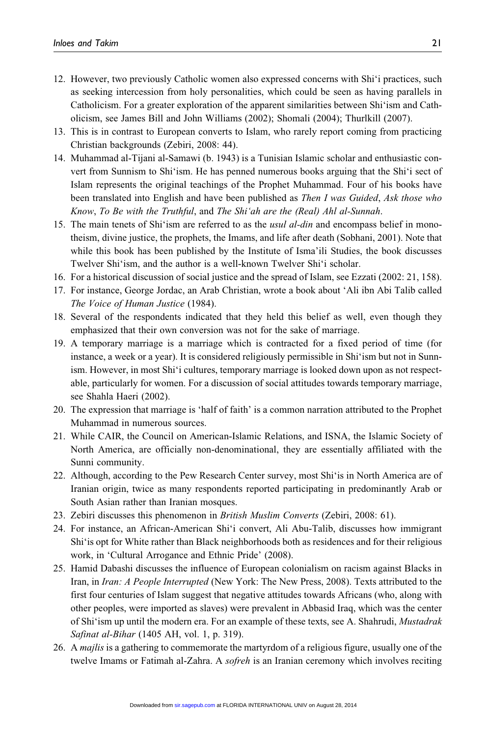- 12. However, two previously Catholic women also expressed concerns with Shi'i practices, such as seeking intercession from holy personalities, which could be seen as having parallels in Catholicism. For a greater exploration of the apparent similarities between Shi'ism and Catholicism, see James Bill and John Williams (2002); Shomali (2004); Thurlkill (2007).
- 13. This is in contrast to European converts to Islam, who rarely report coming from practicing Christian backgrounds (Zebiri, 2008: 44).
- 14. Muhammad al-Tijani al-Samawi (b. 1943) is a Tunisian Islamic scholar and enthusiastic convert from Sunnism to Shi'ism. He has penned numerous books arguing that the Shi'i sect of Islam represents the original teachings of the Prophet Muhammad. Four of his books have been translated into English and have been published as Then I was Guided, Ask those who Know, To Be with the Truthful, and The Shi'ah are the (Real) Ahl al-Sunnah.
- 15. The main tenets of Shi'ism are referred to as the *usul al-din* and encompass belief in monotheism, divine justice, the prophets, the Imams, and life after death (Sobhani, 2001). Note that while this book has been published by the Institute of Isma'ili Studies, the book discusses Twelver Shi'ism, and the author is a well-known Twelver Shi'i scholar.
- 16. For a historical discussion of social justice and the spread of Islam, see Ezzati (2002: 21, 158).
- 17. For instance, George Jordac, an Arab Christian, wrote a book about 'Ali ibn Abi Talib called The Voice of Human Justice (1984).
- 18. Several of the respondents indicated that they held this belief as well, even though they emphasized that their own conversion was not for the sake of marriage.
- 19. A temporary marriage is a marriage which is contracted for a fixed period of time (for instance, a week or a year). It is considered religiously permissible in Shi'ism but not in Sunnism. However, in most Shi'i cultures, temporary marriage is looked down upon as not respectable, particularly for women. For a discussion of social attitudes towards temporary marriage, see Shahla Haeri (2002).
- 20. The expression that marriage is 'half of faith' is a common narration attributed to the Prophet Muhammad in numerous sources.
- 21. While CAIR, the Council on American-Islamic Relations, and ISNA, the Islamic Society of North America, are officially non-denominational, they are essentially affiliated with the Sunni community.
- 22. Although, according to the Pew Research Center survey, most Shi'is in North America are of Iranian origin, twice as many respondents reported participating in predominantly Arab or South Asian rather than Iranian mosques.
- 23. Zebiri discusses this phenomenon in British Muslim Converts (Zebiri, 2008: 61).
- 24. For instance, an African-American Shi'i convert, Ali Abu-Talib, discusses how immigrant Shi'is opt for White rather than Black neighborhoods both as residences and for their religious work, in 'Cultural Arrogance and Ethnic Pride' (2008).
- 25. Hamid Dabashi discusses the influence of European colonialism on racism against Blacks in Iran, in *Iran: A People Interrupted* (New York: The New Press, 2008). Texts attributed to the first four centuries of Islam suggest that negative attitudes towards Africans (who, along with other peoples, were imported as slaves) were prevalent in Abbasid Iraq, which was the center of Shi'ism up until the modern era. For an example of these texts, see A. Shahrudi, Mustadrak Safinat al-Bihar (1405 AH, vol. 1, p. 319).
- 26. A *majlis* is a gathering to commemorate the martyrdom of a religious figure, usually one of the twelve Imams or Fatimah al-Zahra. A sofreh is an Iranian ceremony which involves reciting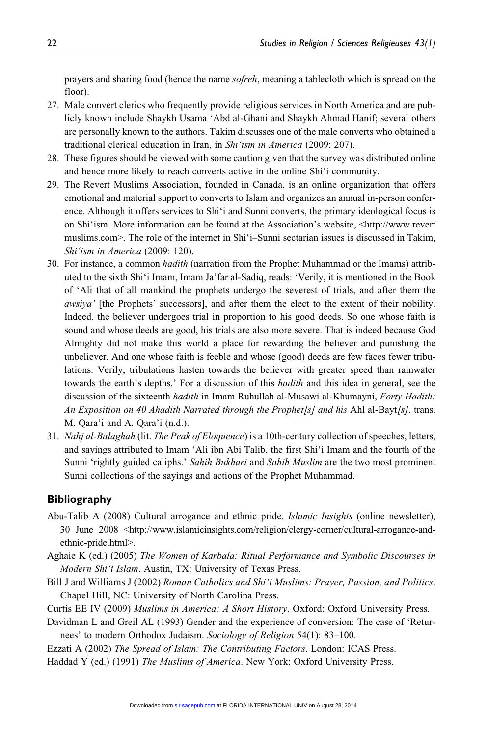prayers and sharing food (hence the name sofreh, meaning a tablecloth which is spread on the floor).

- 27. Male convert clerics who frequently provide religious services in North America and are publicly known include Shaykh Usama 'Abd al-Ghani and Shaykh Ahmad Hanif; several others are personally known to the authors. Takim discusses one of the male converts who obtained a traditional clerical education in Iran, in Shi'ism in America (2009: 207).
- 28. These figures should be viewed with some caution given that the survey was distributed online and hence more likely to reach converts active in the online Shi'i community.
- 29. The Revert Muslims Association, founded in Canada, is an online organization that offers emotional and material support to converts to Islam and organizes an annual in-person conference. Although it offers services to Shi'i and Sunni converts, the primary ideological focus is on Shi'ism. More information can be found at the Association's website, <http://www.revert muslims.com>. The role of the internet in Shi'i–Sunni sectarian issues is discussed in Takim, Shi'ism in America (2009: 120).
- 30. For instance, a common hadith (narration from the Prophet Muhammad or the Imams) attributed to the sixth Shi'i Imam, Imam Ja'far al-Sadiq, reads: 'Verily, it is mentioned in the Book of 'Ali that of all mankind the prophets undergo the severest of trials, and after them the awsiya' [the Prophets' successors], and after them the elect to the extent of their nobility. Indeed, the believer undergoes trial in proportion to his good deeds. So one whose faith is sound and whose deeds are good, his trials are also more severe. That is indeed because God Almighty did not make this world a place for rewarding the believer and punishing the unbeliever. And one whose faith is feeble and whose (good) deeds are few faces fewer tribulations. Verily, tribulations hasten towards the believer with greater speed than rainwater towards the earth's depths.' For a discussion of this hadith and this idea in general, see the discussion of the sixteenth hadith in Imam Ruhullah al-Musawi al-Khumayni, Forty Hadith: An Exposition on 40 Ahadith Narrated through the Prophet [s] and his Ahl al-Bayt [s], trans. M. Qara'i and A. Qara'i (n.d.).
- 31. Nahj al-Balaghah (lit. The Peak of Eloquence) is a 10th-century collection of speeches, letters, and sayings attributed to Imam 'Ali ibn Abi Talib, the first Shi'i Imam and the fourth of the Sunni 'rightly guided caliphs.' Sahih Bukhari and Sahih Muslim are the two most prominent Sunni collections of the sayings and actions of the Prophet Muhammad.

#### Bibliography

- Abu-Talib A (2008) Cultural arrogance and ethnic pride. *Islamic Insights* (online newsletter), 30 June 2008 <[http://www.islamicinsights.com/religion/clergy-corner/cultural-arrogance-and](http://www.islamicinsights.com/religion/clergy-corner/cultural-arrogance-and-ethnic-pride.html)[ethnic-pride.html](http://www.islamicinsights.com/religion/clergy-corner/cultural-arrogance-and-ethnic-pride.html)>.
- Aghaie K (ed.) (2005) The Women of Karbala: Ritual Performance and Symbolic Discourses in Modern Shi'i Islam. Austin, TX: University of Texas Press.
- Bill J and Williams J (2002) Roman Catholics and Shi'i Muslims: Prayer, Passion, and Politics. Chapel Hill, NC: University of North Carolina Press.
- Curtis EE IV (2009) Muslims in America: A Short History. Oxford: Oxford University Press.
- Davidman L and Greil AL (1993) Gender and the experience of conversion: The case of 'Returnees' to modern Orthodox Judaism. Sociology of Religion 54(1): 83-100.
- Ezzati A (2002) The Spread of Islam: The Contributing Factors. London: ICAS Press.
- Haddad Y (ed.) (1991) The Muslims of America. New York: Oxford University Press.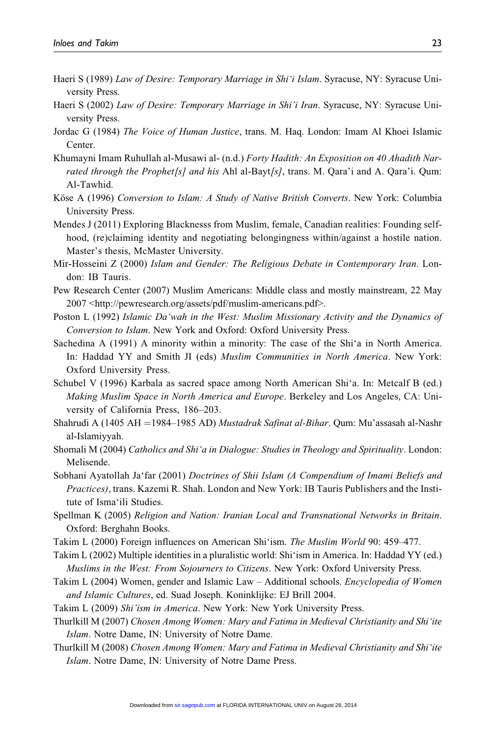- Haeri S (1989) Law of Desire: Temporary Marriage in Shi'i Islam. Syracuse, NY: Syracuse University Press.
- Haeri S (2002) Law of Desire: Temporary Marriage in Shi'i Iran. Syracuse, NY: Syracuse University Press.
- Jordac G (1984) The Voice of Human Justice, trans. M. Haq. London: Imam Al Khoei Islamic Center.
- Khumayni Imam Ruhullah al-Musawi al- (n.d.) Forty Hadith: An Exposition on 40 Ahadith Narrated through the Prophet[s] and his Ahl al-Bayt[s], trans. M. Qara'i and A. Qara'i. Qum: Al-Tawhid.
- Köse A (1996) Conversion to Islam: A Study of Native British Converts. New York: Columbia University Press.
- Mendes J (2011) Exploring Blacknesss from Muslim, female, Canadian realities: Founding selfhood, (re)claiming identity and negotiating belongingness within/against a hostile nation. Master's thesis, McMaster University.
- Mir-Hosseini Z (2000) Islam and Gender: The Religious Debate in Contemporary Iran. London: IB Tauris.
- Pew Research Center (2007) Muslim Americans: Middle class and mostly mainstream, 22 May 2007 <[http://pewresearch.org/assets/pdf/muslim-americans.pdf>](http://pewresearch.org/assets/pdf/muslim-americans.pdf).
- Poston L (1992) Islamic Da'wah in the West: Muslim Missionary Activity and the Dynamics of Conversion to Islam. New York and Oxford: Oxford University Press.
- Sachedina A (1991) A minority within a minority: The case of the Shi'a in North America. In: Haddad YY and Smith JI (eds) Muslim Communities in North America. New York: Oxford University Press.
- Schubel V (1996) Karbala as sacred space among North American Shi'a. In: Metcalf B (ed.) Making Muslim Space in North America and Europe. Berkeley and Los Angeles, CA: University of California Press, 186–203.
- Shahrudi A (1405 AH = 1984–1985 AD) Mustadrak Safinat al-Bihar. Qum: Mu'assasah al-Nashr al-Islamiyyah.
- Shomali M (2004) Catholics and Shi'a in Dialogue: Studies in Theology and Spirituality. London: Melisende.
- Sobhani Ayatollah Ja'far (2001) Doctrines of Shii Islam (A Compendium of Imami Beliefs and Practices), trans. Kazemi R. Shah. London and New York: IB Tauris Publishers and the Institute of Isma'ili Studies.
- Spellman K (2005) Religion and Nation: Iranian Local and Transnational Networks in Britain. Oxford: Berghahn Books.
- Takim L (2000) Foreign influences on American Shi'ism. The Muslim World 90: 459–477.
- Takim L (2002) Multiple identities in a pluralistic world: Shi'ism in America. In: Haddad YY (ed.) Muslims in the West: From Sojourners to Citizens. New York: Oxford University Press.
- Takim L (2004) Women, gender and Islamic Law Additional schools. Encyclopedia of Women and Islamic Cultures, ed. Suad Joseph. Koninklijke: EJ Brill 2004.
- Takim L (2009) Shi'ism in America. New York: New York University Press.
- Thurlkill M (2007) Chosen Among Women: Mary and Fatima in Medieval Christianity and Shi'ite Islam. Notre Dame, IN: University of Notre Dame.
- Thurlkill M (2008) Chosen Among Women: Mary and Fatima in Medieval Christianity and Shi'ite Islam. Notre Dame, IN: University of Notre Dame Press.